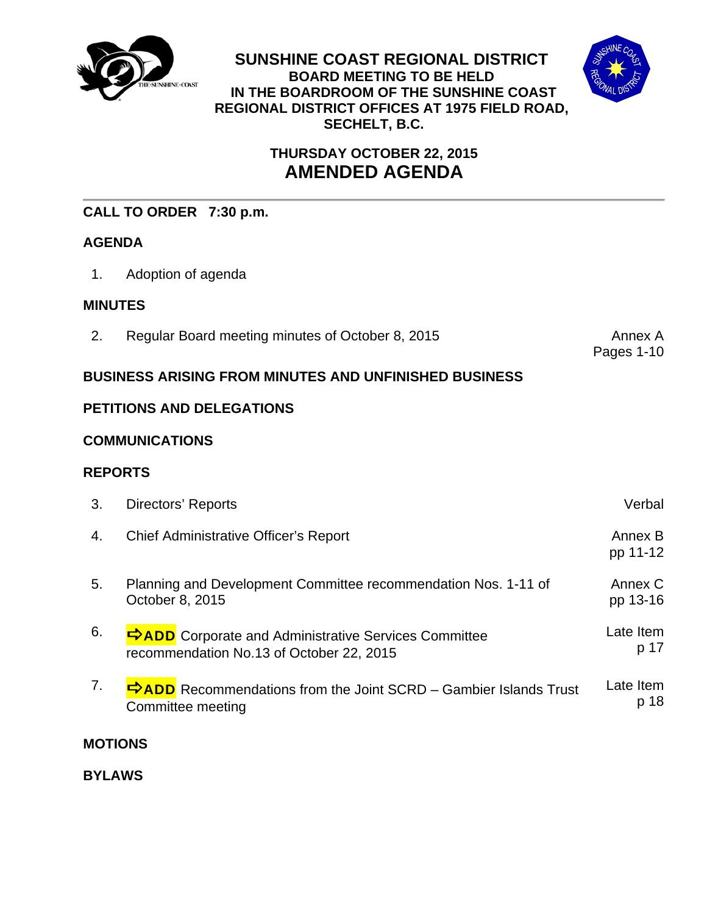

**SUNSHINE COAST REGIONAL DISTRICT BOARD MEETING TO BE HELD IN THE BOARDROOM OF THE SUNSHINE COAST REGIONAL DISTRICT OFFICES AT 1975 FIELD ROAD, SECHELT, B.C.** 



# **THURSDAY OCTOBER 22, 2015 AMENDED AGENDA**

## **CALL TO ORDER 7:30 p.m.**

## **AGENDA**

1. Adoption of agenda

## **MINUTES**

2. Regular Board meeting minutes of October 8, 2015 Annex A

Pages 1-10

## **BUSINESS ARISING FROM MINUTES AND UNFINISHED BUSINESS**

## **PETITIONS AND DELEGATIONS**

## **COMMUNICATIONS**

## **REPORTS**

| 3. | Directors' Reports                                                                                      | Verbal              |
|----|---------------------------------------------------------------------------------------------------------|---------------------|
| 4. | <b>Chief Administrative Officer's Report</b>                                                            | Annex B<br>pp 11-12 |
| 5. | Planning and Development Committee recommendation Nos. 1-11 of<br>October 8, 2015                       | Annex C<br>pp 13-16 |
| 6. | <b>DADD</b> Corporate and Administrative Services Committee<br>recommendation No.13 of October 22, 2015 | Late Item<br>p 17   |
| 7. | $\Rightarrow$ ADD Recommendations from the Joint SCRD – Gambier Islands Trust<br>Committee meeting      | Late Item<br>p 18   |

## **MOTIONS**

**BYLAWS**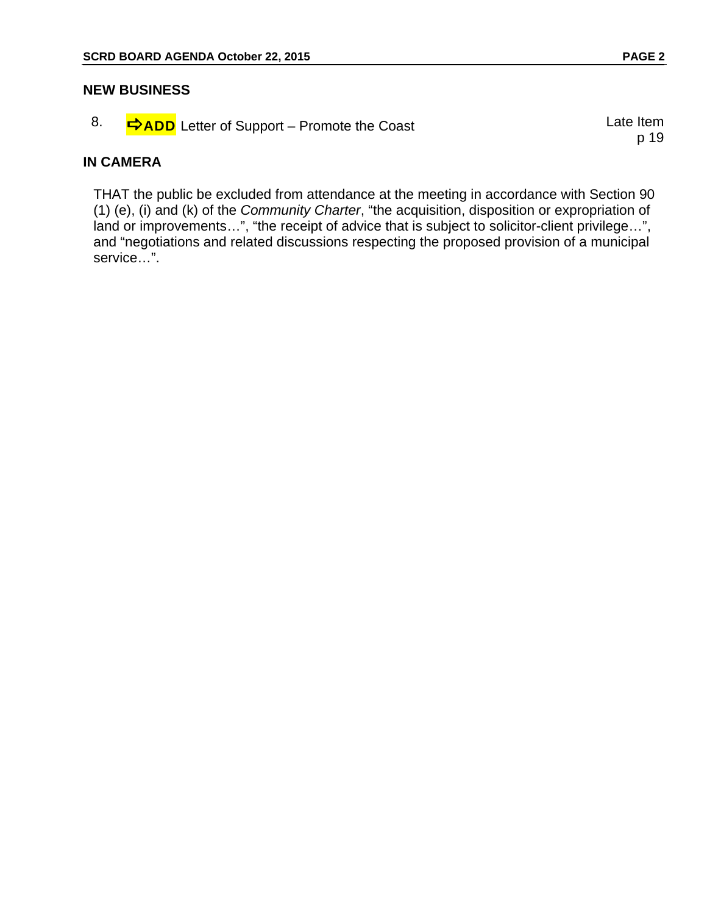#### **NEW BUSINESS**

|  | <b>⇒ADD</b> Letter of Support – Promote the Coast | Late Item |
|--|---------------------------------------------------|-----------|
|  |                                                   |           |

#### **IN CAMERA**

THAT the public be excluded from attendance at the meeting in accordance with Section 90 (1) (e), (i) and (k) of the *Community Charter*, "the acquisition, disposition or expropriation of land or improvements…", "the receipt of advice that is subject to solicitor-client privilege…", and "negotiations and related discussions respecting the proposed provision of a municipal service…".

p 19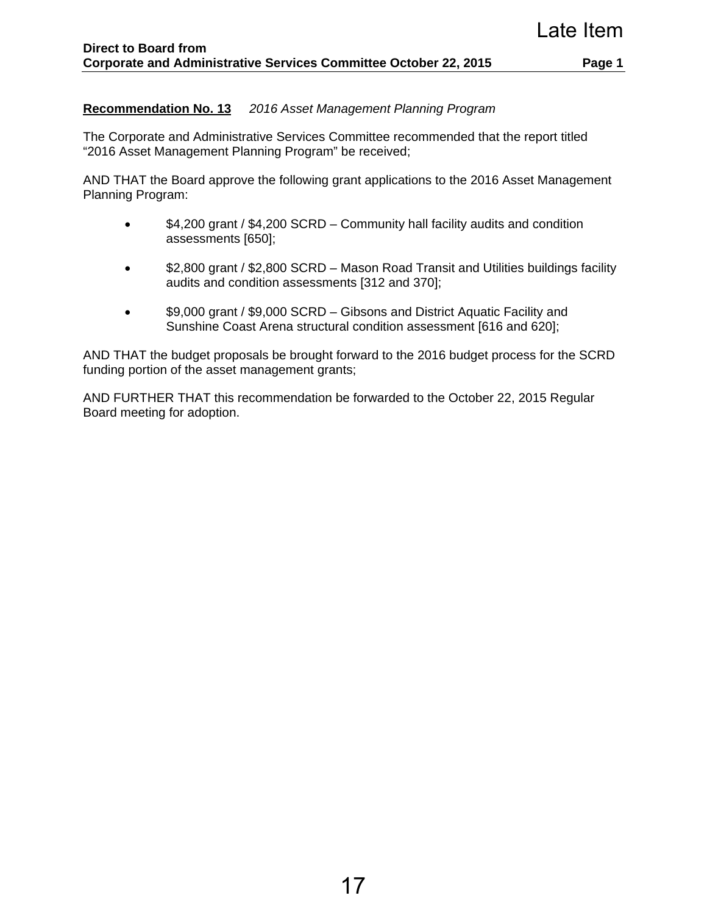### **Recommendation No. 13** *2016 Asset Management Planning Program*

The Corporate and Administrative Services Committee recommended that the report titled "2016 Asset Management Planning Program" be received;

AND THAT the Board approve the following grant applications to the 2016 Asset Management Planning Program:

- \$4,200 grant / \$4,200 SCRD Community hall facility audits and condition assessments [650];
- \$2,800 grant / \$2,800 SCRD Mason Road Transit and Utilities buildings facility audits and condition assessments [312 and 370];
- \$9,000 grant / \$9,000 SCRD Gibsons and District Aquatic Facility and Sunshine Coast Arena structural condition assessment [616 and 620];

AND THAT the budget proposals be brought forward to the 2016 budget process for the SCRD funding portion of the asset management grants;

AND FURTHER THAT this recommendation be forwarded to the October 22, 2015 Regular Board meeting for adoption.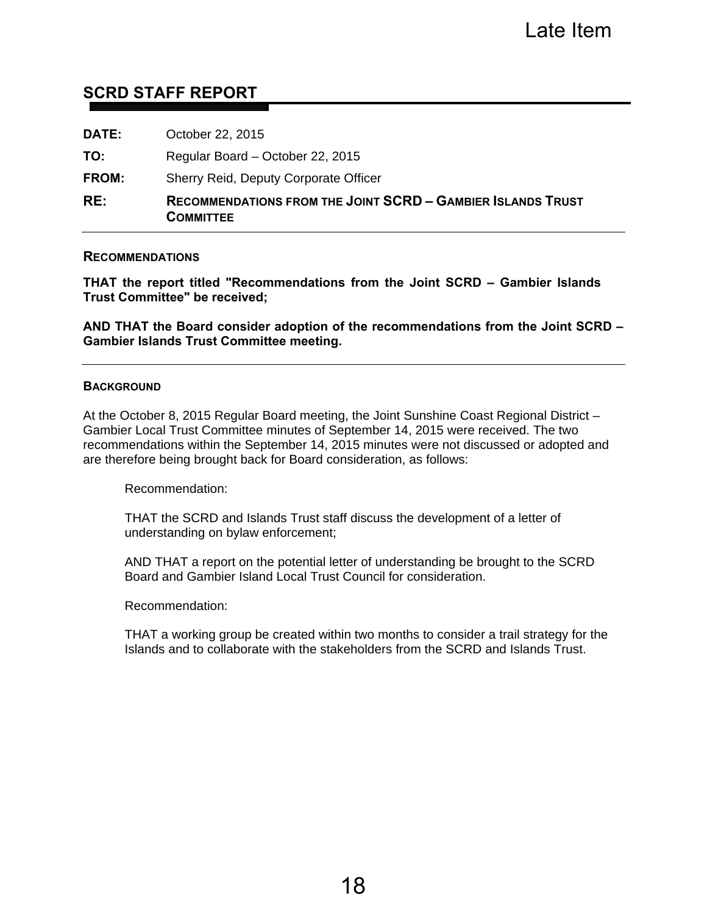## **SCRD STAFF REPORT**

| RE:          | <b>RECOMMENDATIONS FROM THE JOINT SCRD - GAMBIER ISLANDS TRUST</b><br><b>COMMITTEE</b> |
|--------------|----------------------------------------------------------------------------------------|
| <b>FROM:</b> | Sherry Reid, Deputy Corporate Officer                                                  |
| TO:          | Regular Board - October 22, 2015                                                       |
| <b>DATE:</b> | October 22, 2015                                                                       |

#### **RECOMMENDATIONS**

**THAT the report titled "Recommendations from the Joint SCRD – Gambier Islands Trust Committee" be received;** 

**AND THAT the Board consider adoption of the recommendations from the Joint SCRD – Gambier Islands Trust Committee meeting.** 

#### **BACKGROUND**

At the October 8, 2015 Regular Board meeting, the Joint Sunshine Coast Regional District – Gambier Local Trust Committee minutes of September 14, 2015 were received. The two recommendations within the September 14, 2015 minutes were not discussed or adopted and are therefore being brought back for Board consideration, as follows:

Recommendation:

THAT the SCRD and Islands Trust staff discuss the development of a letter of understanding on bylaw enforcement;

AND THAT a report on the potential letter of understanding be brought to the SCRD Board and Gambier Island Local Trust Council for consideration.

Recommendation:

THAT a working group be created within two months to consider a trail strategy for the Islands and to collaborate with the stakeholders from the SCRD and Islands Trust.